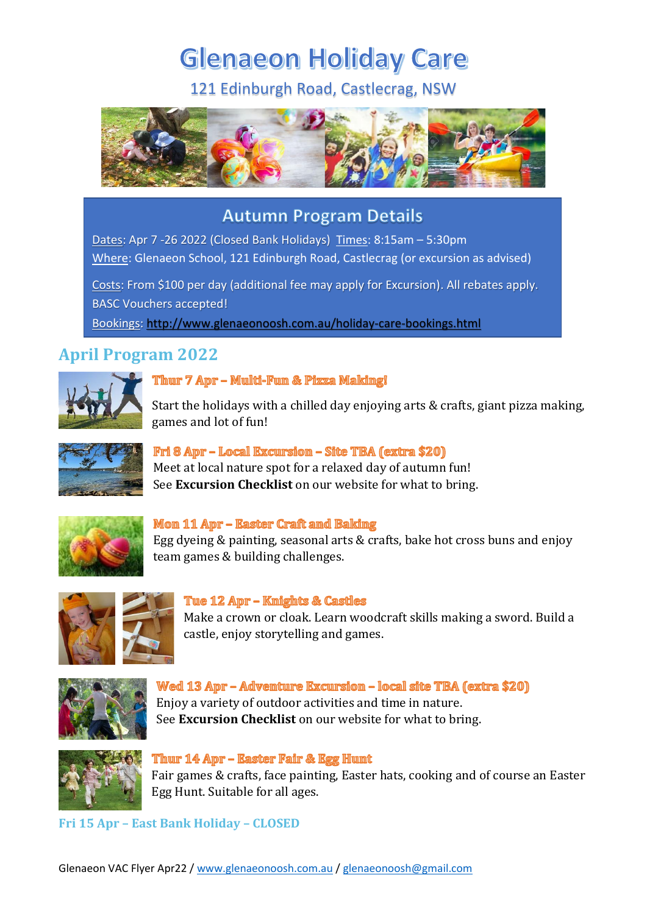# **Glenaeon Holiday Care**

121 Edinburgh Road, Castlecrag, NSW



# **Autumn Program Details**

Dates: Apr 7 -26 2022 (Closed Bank Holidays) Times: 8:15am – 5:30pm Where: Glenaeon School, 121 Edinburgh Road, Castlecrag (or excursion as advised)

Costs: From \$100 per day (additional fee may apply for Excursion). All rebates apply. BASC Vouchers accepted!

Bookings:<http://www.glenaeonoosh.com.au/holiday-care-bookings.html>

## **April Program 2022**



## Thur 7 Apr - Multi-Fum & Pizza Making!

Start the holidays with a chilled day enjoying arts & crafts, giant pizza making, games and lot of fun!



## Fri 8 Apr - Local Excursion - Site TBA (extra \$20)

Meet at local nature spot for a relaxed day of autumn fun! See **Excursion Checklist** on our website for what to bring.



#### Mom 11 Apr - Easter Craft and Baking

Egg dyeing & painting, seasonal arts & crafts, bake hot cross buns and enjoy team games & building challenges.



## Tue 12 Apr - Knights & Castles

Make a crown or cloak. Learn woodcraft skills making a sword. Build a castle, enjoy storytelling and games.



Wed 13 Apr - Adventure Excursion - local site TBA (extra \$20) Enjoy a variety of outdoor activities and time in nature. See **Excursion Checklist** on our website for what to bring.



## Thur 14 Apr - Easter Fair & Egg Humt

Fair games & crafts, face painting, Easter hats, cooking and of course an Easter Egg Hunt. Suitable for all ages.

**Fri 15 Apr – East Bank Holiday – CLOSED**